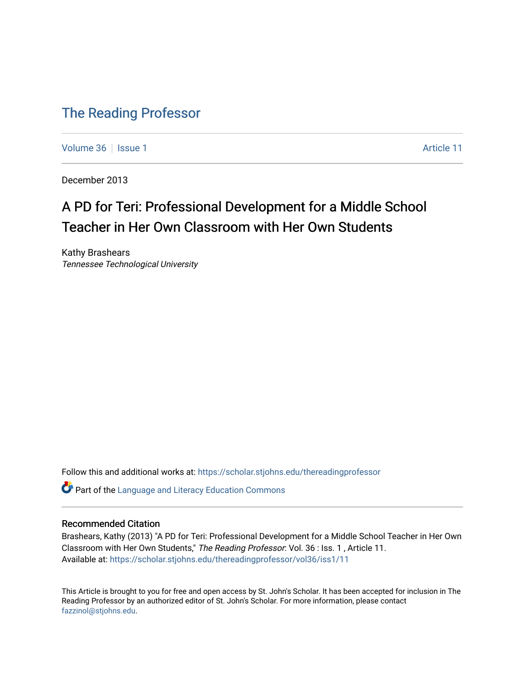# [The Reading Professor](https://scholar.stjohns.edu/thereadingprofessor)

[Volume 36](https://scholar.stjohns.edu/thereadingprofessor/vol36) | [Issue 1](https://scholar.stjohns.edu/thereadingprofessor/vol36/iss1) Article 11

December 2013

# A PD for Teri: Professional Development for a Middle School Teacher in Her Own Classroom with Her Own Students

Kathy Brashears Tennessee Technological University

Follow this and additional works at: [https://scholar.stjohns.edu/thereadingprofessor](https://scholar.stjohns.edu/thereadingprofessor?utm_source=scholar.stjohns.edu%2Fthereadingprofessor%2Fvol36%2Fiss1%2F11&utm_medium=PDF&utm_campaign=PDFCoverPages) 

Part of the [Language and Literacy Education Commons](http://network.bepress.com/hgg/discipline/1380?utm_source=scholar.stjohns.edu%2Fthereadingprofessor%2Fvol36%2Fiss1%2F11&utm_medium=PDF&utm_campaign=PDFCoverPages) 

# Recommended Citation

Brashears, Kathy (2013) "A PD for Teri: Professional Development for a Middle School Teacher in Her Own Classroom with Her Own Students," The Reading Professor: Vol. 36 : Iss. 1 , Article 11. Available at: [https://scholar.stjohns.edu/thereadingprofessor/vol36/iss1/11](https://scholar.stjohns.edu/thereadingprofessor/vol36/iss1/11?utm_source=scholar.stjohns.edu%2Fthereadingprofessor%2Fvol36%2Fiss1%2F11&utm_medium=PDF&utm_campaign=PDFCoverPages)

This Article is brought to you for free and open access by St. John's Scholar. It has been accepted for inclusion in The Reading Professor by an authorized editor of St. John's Scholar. For more information, please contact [fazzinol@stjohns.edu](mailto:fazzinol@stjohns.edu).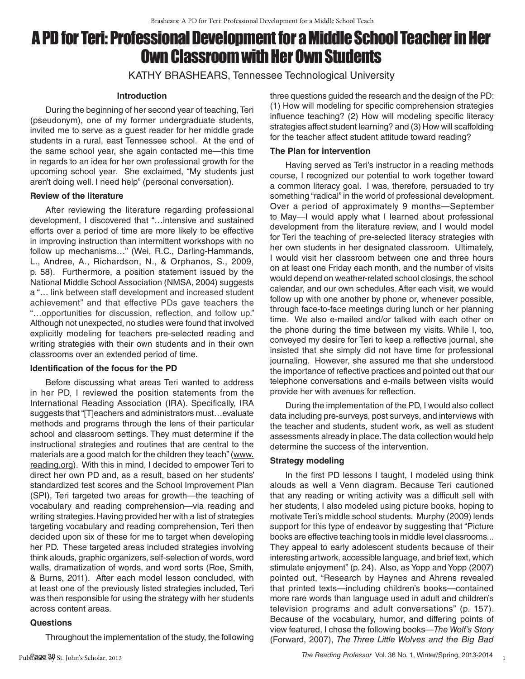# A PD for Teri: Professional Development for a Middle School Teacher in Her Own Classroom with Her Own Students

KATHY BRASHEARS, Tennessee Technological University

#### **Introduction**

During the beginning of her second year of teaching, Teri (pseudonym), one of my former undergraduate students, invited me to serve as a guest reader for her middle grade students in a rural, east Tennessee school. At the end of the same school year, she again contacted me—this time in regards to an idea for her own professional growth for the upcoming school year. She exclaimed, "My students just aren't doing well. I need help" (personal conversation).

#### **Review of the literature**

After reviewing the literature regarding professional development, I discovered that "…intensive and sustained efforts over a period of time are more likely to be effective in improving instruction than intermittent workshops with no follow up mechanisms…" (Wei, R.C., Darling-Hammands, L., Andree, A., Richardson, N., & Orphanos, S., 2009, p. 58). Furthermore, a position statement issued by the National Middle School Association (NMSA, 2004) suggests a "… link between staff development and increased student achievement" and that effective PDs gave teachers the "…opportunities for discussion, reflection, and follow up." Although not unexpected, no studies were found that involved explicitly modeling for teachers pre-selected reading and writing strategies with their own students and in their own classrooms over an extended period of time.

# **Identification of the focus for the PD**

Before discussing what areas Teri wanted to address in her PD, I reviewed the position statements from the International Reading Association (IRA). Specifically, IRA suggests that "[T]eachers and administrators must…evaluate methods and programs through the lens of their particular school and classroom settings. They must determine if the instructional strategies and routines that are central to the materials are a good match for the children they teach" (www. reading.org). With this in mind, I decided to empower Teri to direct her own PD and, as a result, based on her students' standardized test scores and the School Improvement Plan (SPI), Teri targeted two areas for growth—the teaching of vocabulary and reading comprehension—via reading and writing strategies. Having provided her with a list of strategies targeting vocabulary and reading comprehension, Teri then decided upon six of these for me to target when developing her PD. These targeted areas included strategies involving think alouds, graphic organizers, self-selection of words, word walls, dramatization of words, and word sorts (Roe, Smith, & Burns, 2011). After each model lesson concluded, with at least one of the previously listed strategies included, Teri was then responsible for using the strategy with her students across content areas.

# **Questions**

Throughout the implementation of the study, the following

three questions guided the research and the design of the PD: (1) How will modeling for specific comprehension strategies influence teaching? (2) How will modeling specific literacy strategies affect student learning? and (3) How will scaffolding for the teacher affect student attitude toward reading?

# **The Plan for intervention**

Having served as Teri's instructor in a reading methods course, I recognized our potential to work together toward a common literacy goal. I was, therefore, persuaded to try something "radical" in the world of professional development. Over a period of approximately 9 months—September to May—I would apply what I learned about professional development from the literature review, and I would model for Teri the teaching of pre-selected literacy strategies with her own students in her designated classroom. Ultimately, I would visit her classroom between one and three hours on at least one Friday each month, and the number of visits would depend on weather-related school closings, the school calendar, and our own schedules. After each visit, we would follow up with one another by phone or, whenever possible, through face-to-face meetings during lunch or her planning time. We also e-mailed and/or talked with each other on the phone during the time between my visits. While I, too, conveyed my desire for Teri to keep a reflective journal, she insisted that she simply did not have time for professional journaling. However, she assured me that she understood the importance of reflective practices and pointed out that our telephone conversations and e-mails between visits would provide her with avenues for reflection.

During the implementation of the PD, I would also collect data including pre-surveys, post surveys, and interviews with the teacher and students, student work, as well as student assessments already in place. The data collection would help determine the success of the intervention.

# **Strategy modeling**

In the first PD lessons I taught, I modeled using think alouds as well a Venn diagram. Because Teri cautioned that any reading or writing activity was a difficult sell with her students, I also modeled using picture books, hoping to motivate Teri's middle school students. Murphy (2009) lends support for this type of endeavor by suggesting that "Picture books are effective teaching tools in middle level classrooms... They appeal to early adolescent students because of their interesting artwork, accessible language, and brief text, which stimulate enjoyment" (p. 24). Also, as Yopp and Yopp (2007) pointed out, "Research by Haynes and Ahrens revealed that printed texts—including children's books—contained more rare words than language used in adult and children's television programs and adult conversations" (p. 157). Because of the vocabulary, humor, and differing points of view featured, I chose the following books—*The Wolf's Story*  (Forward, 2007), *The Three Little Wolves and the Big Bad* 

1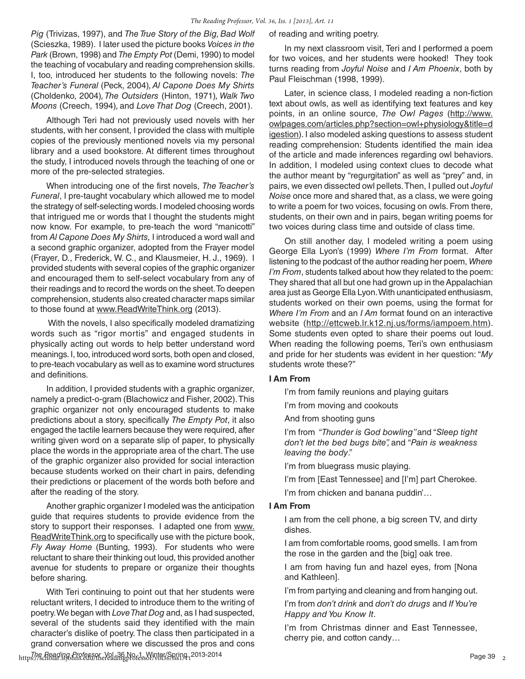*Pig* (Trivizas, 1997), and *The True Story of the Big, Bad Wolf*  (Scieszka, 1989). I later used the picture books *Voices in the Park* (Brown, 1998) and *The Empty Pot* (Demi, 1990) to model the teaching of vocabulary and reading comprehension skills. I, too, introduced her students to the following novels: *The Teacher's Funeral* (Peck, 2004)*, Al Capone Does My Shirts*  (Choldenko, 2004)*, The Outsiders* (Hinton, 1971)*, Walk Two Moons* (Creech, 1994)*,* and *Love That Dog* (Creech, 2001).

Although Teri had not previously used novels with her students, with her consent, I provided the class with multiple copies of the previously mentioned novels via my personal library and a used bookstore. At different times throughout the study, I introduced novels through the teaching of one or more of the pre-selected strategies.

When introducing one of the first novels, *The Teacher's Funeral*, I pre-taught vocabulary which allowed me to model the strategy of self-selecting words. I modeled choosing words that intrigued me or words that I thought the students might now know. For example, to pre-teach the word "manicotti" from *Al Capone Does My Shirts,* I introduced a word wall and a second graphic organizer, adopted from the Frayer model (Frayer, D., Frederick, W. C., and Klausmeier, H. J., 1969). I provided students with several copies of the graphic organizer and encouraged them to self-select vocabulary from any of their readings and to record the words on the sheet. To deepen comprehension, students also created character maps similar to those found at www.ReadWriteThink.org (2013).

 With the novels, I also specifically modeled dramatizing words such as "rigor mortis" and engaged students in physically acting out words to help better understand word meanings. I, too, introduced word sorts, both open and closed, to pre-teach vocabulary as well as to examine word structures and definitions.

In addition, I provided students with a graphic organizer, namely a predict-o-gram (Blachowicz and Fisher, 2002). This graphic organizer not only encouraged students to make predictions about a story, specifically *The Empty Pot*, it also engaged the tactile learners because they were required, after writing given word on a separate slip of paper, to physically place the words in the appropriate area of the chart. The use of the graphic organizer also provided for social interaction because students worked on their chart in pairs, defending their predictions or placement of the words both before and after the reading of the story.

Another graphic organizer I modeled was the anticipation guide that requires students to provide evidence from the story to support their responses. I adapted one from www. ReadWriteThink.org to specifically use with the picture book, *Fly Away Home* (Bunting, 1993). For students who were reluctant to share their thinking out loud, this provided another avenue for students to prepare or organize their thoughts before sharing.

https://scholar.org/col.arg/col.arg/col.arg/col.arg/col.arg/col.arg/col.arg/col.arg/col.arg/col.arg/col.arg/col<br>https://scholar.stjohns.edu/thereadingprofessor/vol36/iss19<sub>11</sub>2013-2014 With Teri continuing to point out that her students were reluctant writers, I decided to introduce them to the writing of poetry. We began with *Love That Dog* and, as I had suspected, several of the students said they identified with the main character's dislike of poetry. The class then participated in a grand conversation where we discussed the pros and cons

of reading and writing poetry.

In my next classroom visit, Teri and I performed a poem for two voices, and her students were hooked! They took turns reading from *Joyful Noise* and *I Am Phoenix*, both by Paul Fleischman (1998, 1999).

Later, in science class, I modeled reading a non-fiction text about owls, as well as identifying text features and key points, in an online source, *The Owl Pages* (http://www. owlpages.com/articles.php?section=owl+physiology&title=d igestion). I also modeled asking questions to assess student reading comprehension: Students identified the main idea of the article and made inferences regarding owl behaviors. In addition, I modeled using context clues to decode what the author meant by "regurgitation" as well as "prey" and, in pairs, we even dissected owl pellets. Then, I pulled out *Joyful Noise* once more and shared that, as a class, we were going to write a poem for two voices, focusing on owls. From there, students, on their own and in pairs, began writing poems for two voices during class time and outside of class time.

On still another day, I modeled writing a poem using George Ella Lyon's (1999) *Where I'm From* format. After listening to the podcast of the author reading her poem, *Where I'm From*, students talked about how they related to the poem: They shared that all but one had grown up in the Appalachian area just as George Ella Lyon. With unanticipated enthusiasm, students worked on their own poems, using the format for *Where I'm From* and an *I Am* format found on an interactive website (http://ettcweb.lr.k12.nj.us/forms/iampoem.htm). Some students even opted to share their poems out loud. When reading the following poems, Teri's own enthusiasm and pride for her students was evident in her question: "*My* students wrote these?"

# **I Am From**

I'm from family reunions and playing guitars

I'm from moving and cookouts

And from shooting guns

I'm from "*Thunder is God bowling"* and "*Sleep tight don't let the bed bugs bite",* and "*Pain is weakness leaving the body*."

I'm from bluegrass music playing.

- I'm from [East Tennessee] and [I'm] part Cherokee.
- I'm from chicken and banana puddin'...

#### **I Am From**

I am from the cell phone, a big screen TV, and dirty dishes.

I am from comfortable rooms, good smells. I am from the rose in the garden and the [big] oak tree.

I am from having fun and hazel eyes, from [Nona and Kathleen].

I'm from partying and cleaning and from hanging out.

I'm from *don't drink* and *don't do drugs* and *If You're Happy and You Know It*.

I'm from Christmas dinner and East Tennessee, cherry pie, and cotton candy…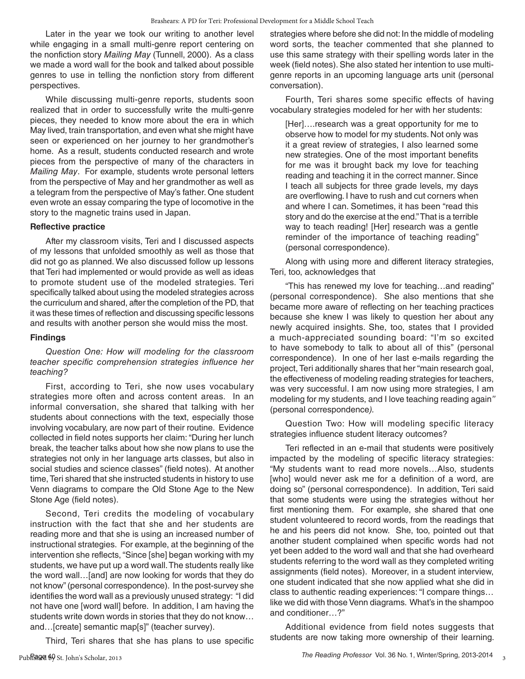Later in the year we took our writing to another level while engaging in a small multi-genre report centering on the nonfiction story *Mailing May* (Tunnell, 2000). As a class we made a word wall for the book and talked about possible genres to use in telling the nonfiction story from different perspectives.

While discussing multi-genre reports, students soon realized that in order to successfully write the multi-genre pieces, they needed to know more about the era in which May lived, train transportation, and even what she might have seen or experienced on her journey to her grandmother's home. As a result, students conducted research and wrote pieces from the perspective of many of the characters in *Mailing May*. For example, students wrote personal letters from the perspective of May and her grandmother as well as a telegram from the perspective of May's father. One student even wrote an essay comparing the type of locomotive in the story to the magnetic trains used in Japan.

#### **Reflective practice**

After my classroom visits, Teri and I discussed aspects of my lessons that unfolded smoothly as well as those that did not go as planned. We also discussed follow up lessons that Teri had implemented or would provide as well as ideas to promote student use of the modeled strategies. Teri specifically talked about using the modeled strategies across the curriculum and shared, after the completion of the PD, that it was these times of reflection and discussing specific lessons and results with another person she would miss the most.

#### **Findings**

# *Question One: How will modeling for the classroom teacher specific comprehension strategies influence her teaching?*

First, according to Teri, she now uses vocabulary strategies more often and across content areas. In an informal conversation, she shared that talking with her students about connections with the text, especially those involving vocabulary, are now part of their routine. Evidence collected in field notes supports her claim: "During her lunch break, the teacher talks about how she now plans to use the strategies not only in her language arts classes, but also in social studies and science classes" (field notes). At another time, Teri shared that she instructed students in history to use Venn diagrams to compare the Old Stone Age to the New Stone Age (field notes).

Second, Teri credits the modeling of vocabulary instruction with the fact that she and her students are reading more and that she is using an increased number of instructional strategies. For example, at the beginning of the intervention she reflects, "Since [she] began working with my students, we have put up a word wall. The students really like the word wall…[and] are now looking for words that they do not know" (personal correspondence). In the post-survey she identifies the word wall as a previously unused strategy: "I did not have one [word wall] before. In addition, I am having the students write down words in stories that they do not know… and…[create] semantic map[s]" (teacher survey).

Third, Teri shares that she has plans to use specific

strategies where before she did not: In the middle of modeling word sorts, the teacher commented that she planned to use this same strategy with their spelling words later in the week (field notes). She also stated her intention to use multigenre reports in an upcoming language arts unit (personal conversation).

Fourth, Teri shares some specific effects of having vocabulary strategies modeled for her with her students:

[Her]….research was a great opportunity for me to observe how to model for my students. Not only was it a great review of strategies, I also learned some new strategies. One of the most important benefits for me was it brought back my love for teaching reading and teaching it in the correct manner. Since I teach all subjects for three grade levels, my days are overflowing. I have to rush and cut corners when and where I can. Sometimes, it has been "read this story and do the exercise at the end." That is a terrible way to teach reading! [Her] research was a gentle reminder of the importance of teaching reading" (personal correspondence).

Along with using more and different literacy strategies, Teri, too, acknowledges that

"This has renewed my love for teaching…and reading" (personal correspondence). She also mentions that she became more aware of reflecting on her teaching practices because she knew I was likely to question her about any newly acquired insights. She, too, states that I provided a much-appreciated sounding board: "I'm so excited to have somebody to talk to about all of this" (personal correspondence). In one of her last e-mails regarding the project, Teri additionally shares that her "main research goal, the effectiveness of modeling reading strategies for teachers, was very successful. I am now using more strategies, I am modeling for my students, and I love teaching reading again*"*  (personal correspondence*).*

Question Two: How will modeling specific literacy strategies influence student literacy outcomes?

Teri reflected in an e-mail that students were positively impacted by the modeling of specific literacy strategies: "My students want to read more novels…Also, students [who] would never ask me for a definition of a word, are doing so" (personal correspondence). In addition, Teri said that some students were using the strategies without her first mentioning them. For example, she shared that one student volunteered to record words, from the readings that he and his peers did not know. She, too, pointed out that another student complained when specific words had not yet been added to the word wall and that she had overheard students referring to the word wall as they completed writing assignments (field notes). Moreover, in a student interview, one student indicated that she now applied what she did in class to authentic reading experiences: "I compare things… like we did with those Venn diagrams. What's in the shampoo and conditioner…?"

Additional evidence from field notes suggests that students are now taking more ownership of their learning.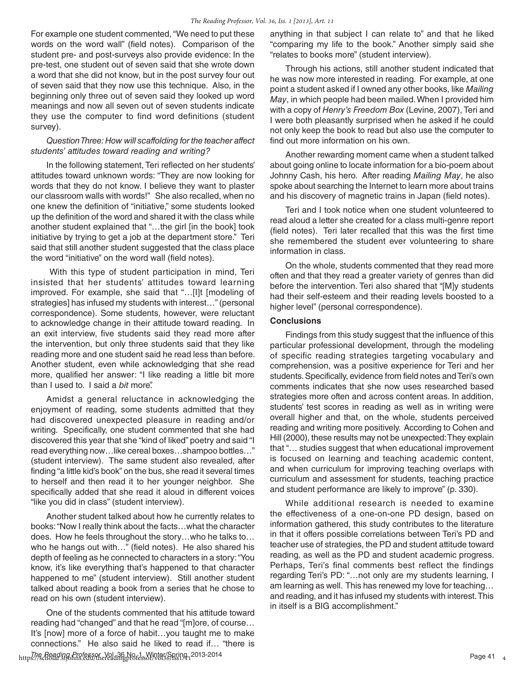For example one student commented, "We need to put these words on the word wall" (field notes). Comparison of the student pre- and post-surveys also provide evidence: In the pre-test, one student out of seven said that she wrote down a word that she did not know, but in the post survey four out of seven said that they now use this technique. Also, in the beginning only three out of seven said they looked up word meanings and now all seven out of seven students indicate they use the computer to find word definitions (student survey).

# *Question Three: How will scaffolding for the teacher affect students' attitudes toward reading and writing?*

In the following statement, Teri reflected on her students' attitudes toward unknown words: "They are now looking for words that they do not know. I believe they want to plaster our classroom walls with words!" She also recalled, when no one knew the definition of "initiative," some students looked up the definition of the word and shared it with the class while another student explained that "…the girl [in the book] took initiative by trying to get a job at the department store." Teri said that still another student suggested that the class place the word "initiative" on the word wall (field notes).

 With this type of student participation in mind, Teri insisted that her students' attitudes toward learning improved. For example, she said that "…[I]t [modeling of strategies] has infused my students with interest…" (personal correspondence). Some students, however, were reluctant to acknowledge change in their attitude toward reading. In an exit interview, five students said they read more after the intervention, but only three students said that they like reading more and one student said he read less than before. Another student, even while acknowledging that she read more, qualified her answer: "I like reading a little bit more than I used to. I said a *bit* more".

Amidst a general reluctance in acknowledging the enjoyment of reading, some students admitted that they had discovered unexpected pleasure in reading and/or writing. Specifically, one student commented that she had discovered this year that she "kind of liked" poetry and said "I read everything now…like cereal boxes…shampoo bottles…" (student interview). The same student also revealed, after finding "a little kid's book" on the bus, she read it several times to herself and then read it to her younger neighbor. She specifically added that she read it aloud in different voices "like you did in class" (student interview).

Another student talked about how he currently relates to books: "Now I really think about the facts…what the character does. How he feels throughout the story…who he talks to… who he hangs out with…" (field notes). He also shared his depth of feeling as he connected to characters in a story: "You know, it's like everything that's happened to that character happened to me" (student interview). Still another student talked about reading a book from a series that he chose to read on his own (student interview).

https://scholar.org/col.arg/col.arg/col.arg/col.arg/col.arg/col.arg/col.arg/col.arg/col.arg/col.arg/col.arg/col<br>https://scholar.stjohns.edu/thereadingprofessor/vol36/iss19<sub>1</sub>2013-2014 One of the students commented that his attitude toward reading had "changed" and that he read "[m]ore, of course… It's [now] more of a force of habit…you taught me to make connections." He also said he liked to read if… "there is

anything in that subject I can relate to" and that he liked "comparing my life to the book." Another simply said she "relates to books more" (student interview).

Through his actions, still another student indicated that he was now more interested in reading. For example, at one point a student asked if I owned any other books, like *Mailing May*, in which people had been mailed. When I provided him with a copy of *Henry's Freedom Box* (Levine, 2007), Teri and I were both pleasantly surprised when he asked if he could not only keep the book to read but also use the computer to find out more information on his own.

Another rewarding moment came when a student talked about going online to locate information for a bio-poem about Johnny Cash, his hero. After reading *Mailing May*, he also spoke about searching the Internet to learn more about trains and his discovery of magnetic trains in Japan (field notes).

Teri and I took notice when one student volunteered to read aloud a letter she created for a class multi-genre report (field notes). Teri later recalled that this was the first time she remembered the student ever volunteering to share information in class.

On the whole, students commented that they read more often and that they read a greater variety of genres than did before the intervention. Teri also shared that "[M]y students had their self-esteem and their reading levels boosted to a higher level" (personal correspondence).

#### **Conclusions**

Findings from this study suggest that the influence of this particular professional development, through the modeling of specific reading strategies targeting vocabulary and comprehension, was a positive experience for Teri and her students. Specifically, evidence from field notes and Teri's own comments indicates that she now uses researched based strategies more often and across content areas. In addition, students' test scores in reading as well as in writing were overall higher and that, on the whole, students perceived reading and writing more positively. According to Cohen and Hill (2000), these results may not be unexpected: They explain that "… studies suggest that when educational improvement is focused on learning and teaching academic content, and when curriculum for improving teaching overlaps with curriculum and assessment for students, teaching practice and student performance are likely to improve" (p. 330).

While additional research is needed to examine the effectiveness of a one-on-one PD design, based on information gathered, this study contributes to the literature in that it offers possible correlations between Teri's PD and teacher use of strategies, the PD and student attitude toward reading, as well as the PD and student academic progress. Perhaps, Teri's final comments best reflect the findings regarding Teri's PD: "…not only are my students learning, I am learning as well. This has renewed my love for teaching… and reading, and it has infused my students with interest. This in itself is a BIG accomplishment."